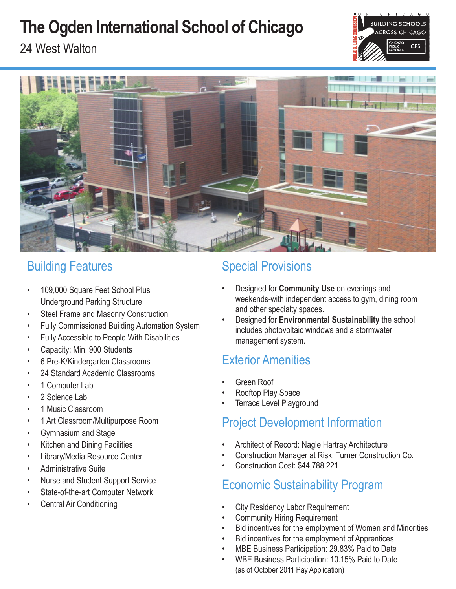# **The Ogden International School of Chicago**







## Building Features

- 109,000 Square Feet School Plus Underground Parking Structure
- Steel Frame and Masonry Construction
- Fully Commissioned Building Automation System
- Fully Accessible to People With Disabilities
- Capacity: Min. 900 Students
- 6 Pre-K/Kindergarten Classrooms
- 24 Standard Academic Classrooms
- 1 Computer Lab
- 2 Science Lab
- 1 Music Classroom
- 1 Art Classroom/Multipurpose Room
- Gymnasium and Stage
- Kitchen and Dining Facilities
- Library/Media Resource Center
- Administrative Suite
- Nurse and Student Support Service
- State-of-the-art Computer Network
- Central Air Conditioning

# Special Provisions

- Designed for **Community Use** on evenings and weekends-with independent access to gym, dining room and other specialty spaces.
- Designed for **Environmental Sustainability** the school includes photovoltaic windows and a stormwater management system.

# Exterior Amenities

- Green Roof
- Rooftop Play Space
- **Terrace Level Playground**

# Project Development Information

- Architect of Record: Nagle Hartray Architecture
- Construction Manager at Risk: Turner Construction Co.
- Construction Cost: \$44,788,221

## Economic Sustainability Program

- **City Residency Labor Requirement**
- **Community Hiring Requirement**
- Bid incentives for the employment of Women and Minorities
- Bid incentives for the employment of Apprentices
	- MBE Business Participation: 29.83% Paid to Date
- WBE Business Participation: 10.15% Paid to Date (as of October 2011 Pay Application)